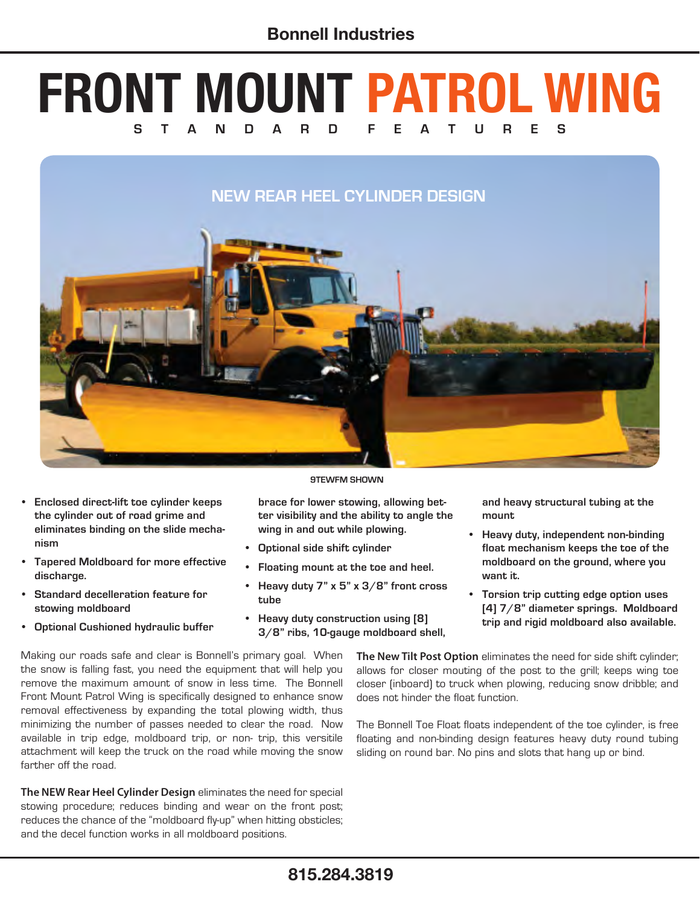# **FRONT MOUNT PATROL WING S T A N D A R D F E A T U R E S**

### **NEW REAR HEEL CYLINDER DESIGN**



- **• Enclosed direct-lift toe cylinder keeps the cylinder out of road grime and eliminates binding on the slide mechanism**
- **• Tapered Moldboard for more effective discharge.**
- **• Standard decelleration feature for stowing moldboard**
- **Optional Cushioned hydraulic buffer**

**brace for lower stowing, allowing better visibility and the ability to angle the** 

- **wing in and out while plowing. • Optional side shift cylinder**
- **• Floating mount at the toe and heel.**
- **• Heavy duty 7" x 5" x 3/8" front cross tube**

**9TEWFM SHOWN**

**• Heavy duty construction using [8] 3/8" ribs, 10-gauge moldboard shell,**  **and heavy structural tubing at the mount**

- **• Heavy duty, independent non-binding float mechanism keeps the toe of the moldboard on the ground, where you want it.**
- **• Torsion trip cutting edge option uses [4] 7/8" diameter springs. Moldboard trip and rigid moldboard also available.**

Making our roads safe and clear is Bonnell's primary goal. When the snow is falling fast, you need the equipment that will help you remove the maximum amount of snow in less time. The Bonnell Front Mount Patrol Wing is specifically designed to enhance snow removal effectiveness by expanding the total plowing width, thus minimizing the number of passes needed to clear the road. Now available in trip edge, moldboard trip, or non- trip, this versitile attachment will keep the truck on the road while moving the snow farther off the road.

**The NEW Rear Heel Cylinder Design** eliminates the need for special stowing procedure; reduces binding and wear on the front post; reduces the chance of the "moldboard fly-up" when hitting obsticles; and the decel function works in all moldboard positions.

**The New Tilt Post Option** eliminates the need for side shift cylinder; allows for closer mouting of the post to the grill; keeps wing toe closer (inboard) to truck when plowing, reducing snow dribble; and does not hinder the float function.

The Bonnell Toe Float floats independent of the toe cylinder, is free floating and non-binding design features heavy duty round tubing sliding on round bar. No pins and slots that hang up or bind.